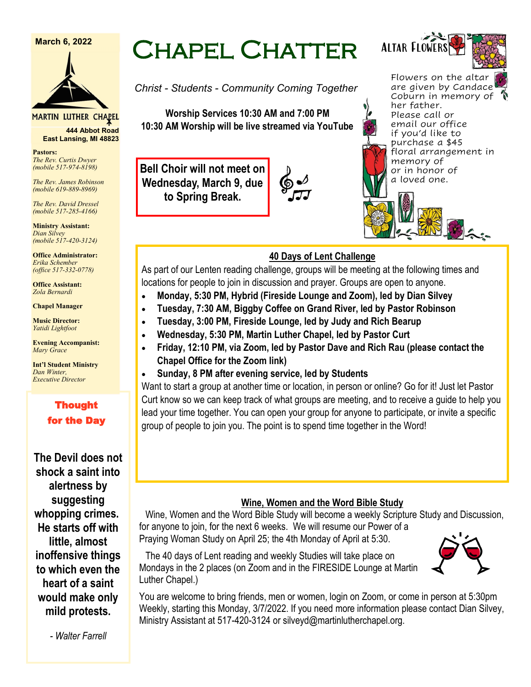**March 6, 2022**



MARTIN LUTHER CHAPEL

**444 Abbot Road East Lansing, MI 48823**

**Pastors:** *The Rev. Curtis Dwyer (mobile 517-974-8198)*

*The Rev. James Robinson (mobile 619-889-8969)*

*The Rev. David Dressel (mobile 517-285-4166)*

**Ministry Assistant:**  *Dian Silvey (mobile 517-420-3124)*

**Office Administrator:** *Erika Schember (office 517-332-0778)*

**Office Assistant:** *Zola Bernardi*

**Chapel Manager** 

**Music Director:** *Yatidi Lightfoot* 

**Evening Accompanist:** *Mary Grace*

**Int'l Student Ministry** *Dan Winter, Executive Director*

### Thought for the Day

**The Devil does not shock a saint into alertness by suggesting whopping crimes. He starts off with little, almost inoffensive things to which even the heart of a saint would make only mild protests.** 

*- Walter Farrell*

# Chapel Chatter

*Christ - Students - Community Coming Together*

**Worship Services 10:30 AM and 7:00 PM 10:30 AM Worship will be live streamed via YouTube**

**Bell Choir will not meet on Wednesday, March 9, due to Spring Break.**



Flowers on the altar are given by Candace Coburn in memory of her father. Please call or email our office if you'd like to purchase a \$45 floral arrangement in memory of or in honor of a loved one.

Altar Flowers



# **40 Days of Lent Challenge**

As part of our Lenten reading challenge, groups will be meeting at the following times and locations for people to join in discussion and prayer. Groups are open to anyone.

- **Monday, 5:30 PM, Hybrid (Fireside Lounge and Zoom), led by Dian Silvey**
- **Tuesday, 7:30 AM, Biggby Coffee on Grand River, led by Pastor Robinson**
- **Tuesday, 3:00 PM, Fireside Lounge, led by Judy and Rich Bearup**
- **Wednesday, 5:30 PM, Martin Luther Chapel, led by Pastor Curt**
- **Friday, 12:10 PM, via Zoom, led by Pastor Dave and Rich Rau (please contact the Chapel Office for the Zoom link)**
- **Sunday, 8 PM after evening service, led by Students**

Want to start a group at another time or location, in person or online? Go for it! Just let Pastor Curt know so we can keep track of what groups are meeting, and to receive a guide to help you lead your time together. You can open your group for anyone to participate, or invite a specific group of people to join you. The point is to spend time together in the Word!

### **Wine, Women and the Word Bible Study**

Wine, Women and the Word Bible Study will become a weekly Scripture Study and Discussion, for anyone to join, for the next 6 weeks. We will resume our Power of a Praying Woman Study on April 25; the 4th Monday of April at 5:30.

The 40 days of Lent reading and weekly Studies will take place on Mondays in the 2 places (on Zoom and in the FIRESIDE Lounge at Martin Luther Chapel.)

You are welcome to bring friends, men or women, login on Zoom, or come in person at 5:30pm Weekly, starting this Monday, 3/7/2022. If you need more information please contact Dian Silvey, Ministry Assistant at 517-420-3124 or silveyd@martinlutherchapel.org.